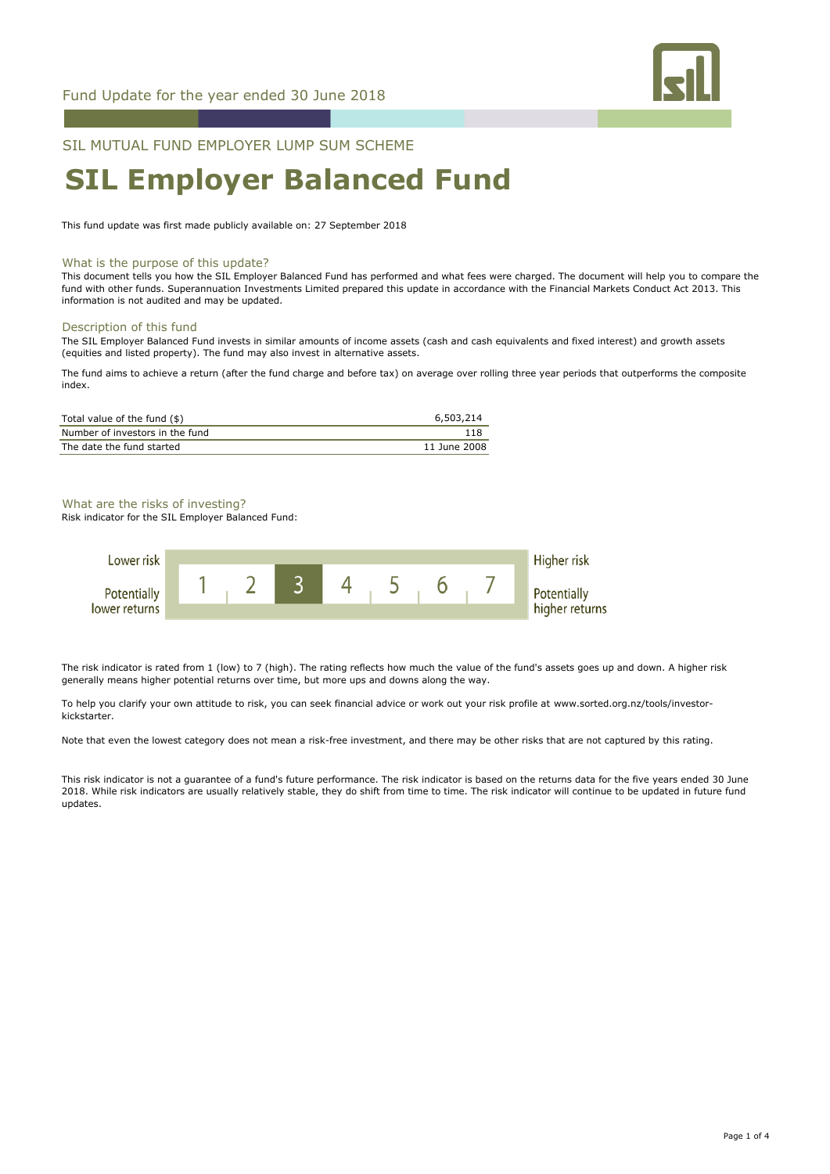

SIL MUTUAL FUND EMPLOYER LUMP SUM SCHEME

# **SIL Employer Balanced Fund**

This fund update was first made publicly available on: 27 September 2018

#### What is the purpose of this update?

This document tells you how the SIL Employer Balanced Fund has performed and what fees were charged. The document will help you to compare the fund with other funds. Superannuation Investments Limited prepared this update in accordance with the Financial Markets Conduct Act 2013. This information is not audited and may be updated.

#### Description of this fund

The SIL Employer Balanced Fund invests in similar amounts of income assets (cash and cash equivalents and fixed interest) and growth assets (equities and listed property). The fund may also invest in alternative assets.

The fund aims to achieve a return (after the fund charge and before tax) on average over rolling three year periods that outperforms the composite index.

| Total value of the fund (\$)    | 6,503,214    |
|---------------------------------|--------------|
| Number of investors in the fund |              |
| The date the fund started       | 11 June 2008 |

#### What are the risks of investing?

Risk indicator for the SIL Employer Balanced Fund:



The risk indicator is rated from 1 (low) to 7 (high). The rating reflects how much the value of the fund's assets goes up and down. A higher risk generally means higher potential returns over time, but more ups and downs along the way.

To help you clarify your own attitude to risk, you can seek financial advice or work out your risk profile at www.sorted.org.nz/tools/investorkickstarter.

Note that even the lowest category does not mean a risk-free investment, and there may be other risks that are not captured by this rating.

This risk indicator is not a guarantee of a fund's future performance. The risk indicator is based on the returns data for the five years ended 30 June 2018. While risk indicators are usually relatively stable, they do shift from time to time. The risk indicator will continue to be updated in future fund updates.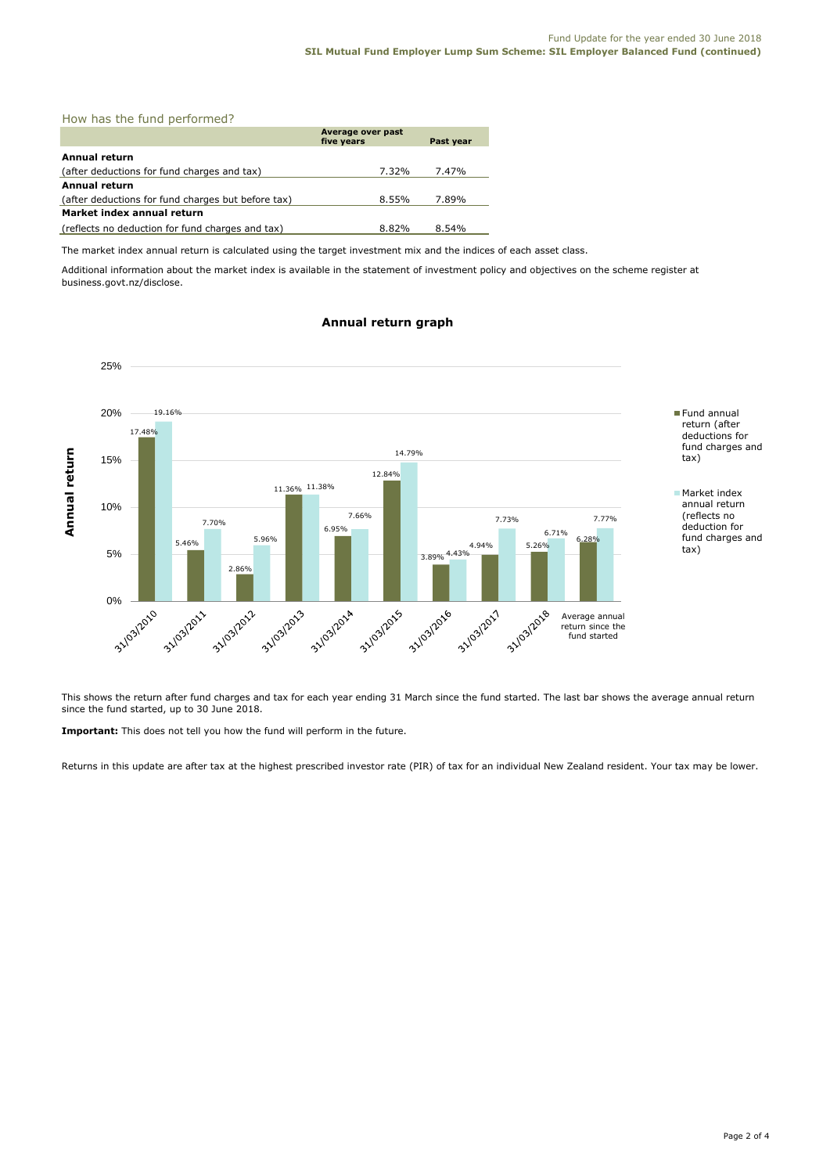|  |  |  |  | How has the fund performed? |  |
|--|--|--|--|-----------------------------|--|
|--|--|--|--|-----------------------------|--|

|                                                    | Average over past<br>five years | Past year |
|----------------------------------------------------|---------------------------------|-----------|
|                                                    |                                 |           |
| Annual return                                      |                                 |           |
| (after deductions for fund charges and tax)        | 7.32%                           | 7.47%     |
| Annual return                                      |                                 |           |
| (after deductions for fund charges but before tax) | 8.55%                           | 7.89%     |
| Market index annual return                         |                                 |           |
| (reflects no deduction for fund charges and tax)   | 8.82%                           | $8.54\%$  |

The market index annual return is calculated using the target investment mix and the indices of each asset class.

Additional information about the market index is available in the statement of investment policy and objectives on the scheme register at business.govt.nz/disclose.

### **Annual return graph**



This shows the return after fund charges and tax for each year ending 31 March since the fund started. The last bar shows the average annual return since the fund started, up to 30 June 2018.

**Important:** This does not tell you how the fund will perform in the future.

Returns in this update are after tax at the highest prescribed investor rate (PIR) of tax for an individual New Zealand resident. Your tax may be lower.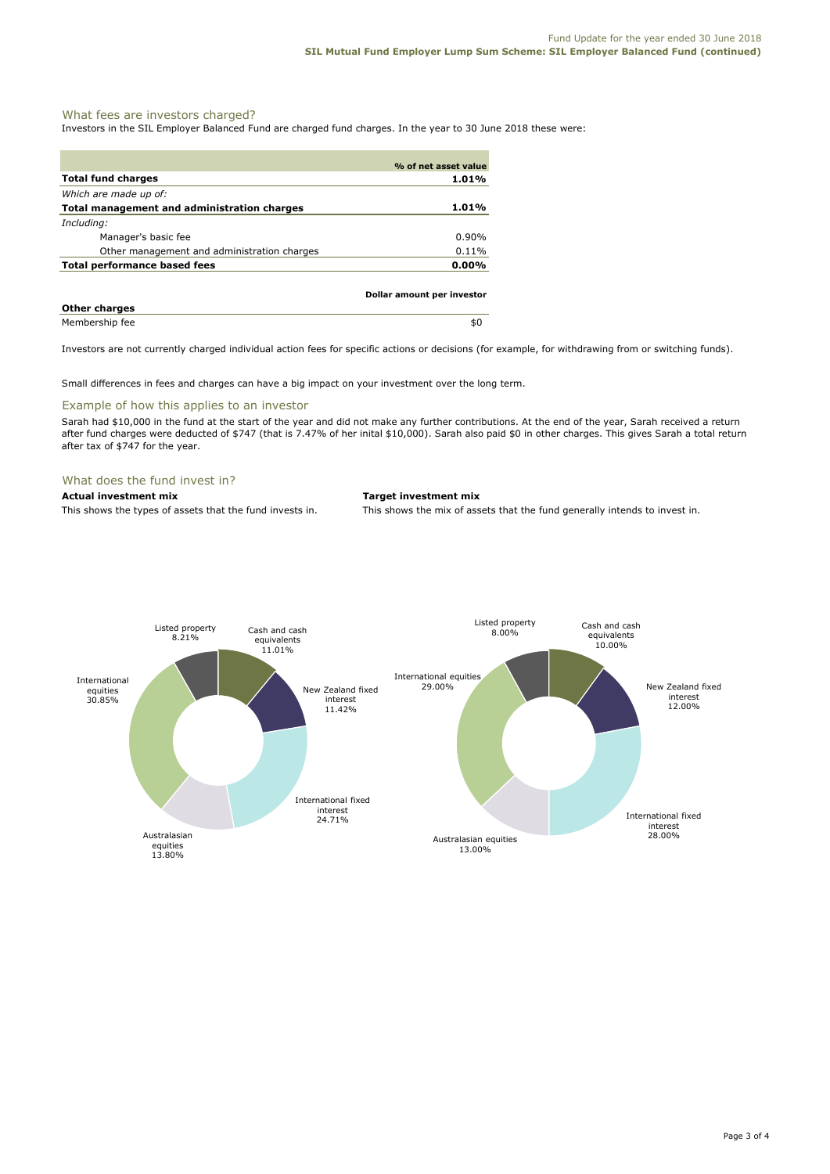#### What fees are investors charged?

Investors in the SIL Employer Balanced Fund are charged fund charges. In the year to 30 June 2018 these were:

|                                             | % of net asset value       |
|---------------------------------------------|----------------------------|
| <b>Total fund charges</b>                   | 1.01%                      |
| Which are made up of:                       |                            |
| Total management and administration charges | 1.01%                      |
| Including:                                  |                            |
| Manager's basic fee                         | $0.90\%$                   |
| Other management and administration charges | $0.11\%$                   |
| Total performance based fees                | $0.00\%$                   |
|                                             | Dollar amount per investor |
| <b>Other charges</b>                        |                            |
| Membership fee                              | \$0                        |

Investors are not currently charged individual action fees for specific actions or decisions (for example, for withdrawing from or switching funds).

Small differences in fees and charges can have a big impact on your investment over the long term.

## Example of how this applies to an investor

Sarah had \$10,000 in the fund at the start of the year and did not make any further contributions. At the end of the year, Sarah received a return after fund charges were deducted of \$747 (that is 7.47% of her inital \$10,000). Sarah also paid \$0 in other charges. This gives Sarah a total return after tax of \$747 for the year.

#### What does the fund invest in?

**Actual investment mix Target investment mix**

This shows the types of assets that the fund invests in. This shows the mix of assets that the fund generally intends to invest in.